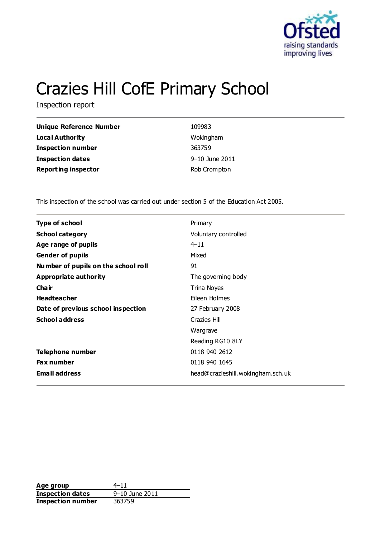

# Crazies Hill CofE Primary School

Inspection report

| Unique Reference Number    | 109983         |
|----------------------------|----------------|
| <b>Local Authority</b>     | Wokingham      |
| <b>Inspection number</b>   | 363759         |
| <b>Inspection dates</b>    | 9–10 June 2011 |
| <b>Reporting inspector</b> | Rob Crompton   |

This inspection of the school was carried out under section 5 of the Education Act 2005.

| <b>Type of school</b>               | Primary                           |
|-------------------------------------|-----------------------------------|
| <b>School category</b>              | Voluntary controlled              |
| Age range of pupils                 | $4 - 11$                          |
| <b>Gender of pupils</b>             | Mixed                             |
| Number of pupils on the school roll | 91                                |
| Appropriate authority               | The governing body                |
| Cha ir                              | Trina Noyes                       |
| <b>Headteacher</b>                  | Eileen Holmes                     |
| Date of previous school inspection  | 27 February 2008                  |
| <b>School address</b>               | Crazies Hill                      |
|                                     | Wargrave                          |
|                                     | Reading RG10 8LY                  |
| Telephone number                    | 0118 940 2612                     |
| <b>Fax number</b>                   | 0118 940 1645                     |
| <b>Email address</b>                | head@crazieshill.wokingham.sch.uk |

**Age group** 4–11<br> **Inspection dates** 9–10 June 2011 **Inspection dates Inspection number** 363759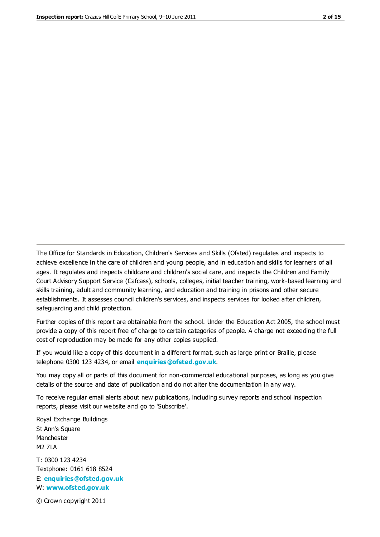The Office for Standards in Education, Children's Services and Skills (Ofsted) regulates and inspects to achieve excellence in the care of children and young people, and in education and skills for learners of all ages. It regulates and inspects childcare and children's social care, and inspects the Children and Family Court Advisory Support Service (Cafcass), schools, colleges, initial teacher training, work-based learning and skills training, adult and community learning, and education and training in prisons and other secure establishments. It assesses council children's services, and inspects services for looked after children, safeguarding and child protection.

Further copies of this report are obtainable from the school. Under the Education Act 2005, the school must provide a copy of this report free of charge to certain categories of people. A charge not exceeding the full cost of reproduction may be made for any other copies supplied.

If you would like a copy of this document in a different format, such as large print or Braille, please telephone 0300 123 4234, or email **[enquiries@ofsted.gov.uk](mailto:enquiries@ofsted.gov.uk)**.

You may copy all or parts of this document for non-commercial educational purposes, as long as you give details of the source and date of publication and do not alter the documentation in any way.

To receive regular email alerts about new publications, including survey reports and school inspection reports, please visit our website and go to 'Subscribe'.

Royal Exchange Buildings St Ann's Square Manchester M2 7LA T: 0300 123 4234 Textphone: 0161 618 8524 E: **[enquiries@ofsted.gov.uk](mailto:enquiries@ofsted.gov.uk)**

W: **[www.ofsted.gov.uk](http://www.ofsted.gov.uk/)**

© Crown copyright 2011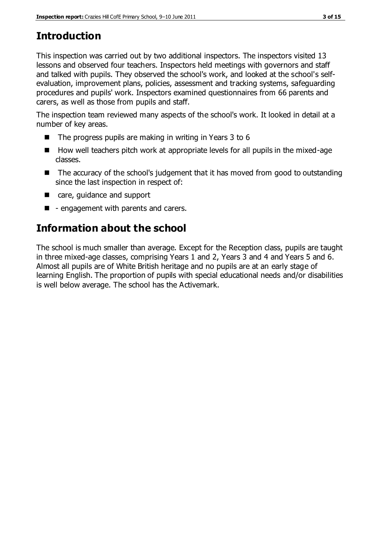# **Introduction**

This inspection was carried out by two additional inspectors. The inspectors visited 13 lessons and observed four teachers. Inspectors held meetings with governors and staff and talked with pupils. They observed the school's work, and looked at the school's selfevaluation, improvement plans, policies, assessment and tracking systems, safeguarding procedures and pupils' work. Inspectors examined questionnaires from 66 parents and carers, as well as those from pupils and staff.

The inspection team reviewed many aspects of the school's work. It looked in detail at a number of key areas.

- $\blacksquare$  The progress pupils are making in writing in Years 3 to 6
- How well teachers pitch work at appropriate levels for all pupils in the mixed-age classes.
- The accuracy of the school's judgement that it has moved from good to outstanding since the last inspection in respect of:
- care, quidance and support
- $\blacksquare$  engagement with parents and carers.

# **Information about the school**

The school is much smaller than average. Except for the Reception class, pupils are taught in three mixed-age classes, comprising Years 1 and 2, Years 3 and 4 and Years 5 and 6. Almost all pupils are of White British heritage and no pupils are at an early stage of learning English. The proportion of pupils with special educational needs and/or disabilities is well below average. The school has the Activemark.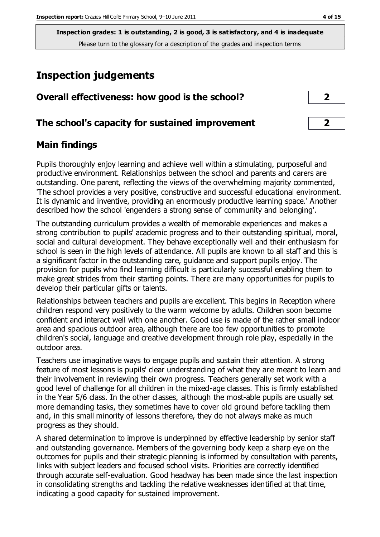## **Inspection judgements**

| Overall effectiveness: how good is the school?  |  |
|-------------------------------------------------|--|
| The school's capacity for sustained improvement |  |

## **Main findings**

Pupils thoroughly enjoy learning and achieve well within a stimulating, purposeful and productive environment. Relationships between the school and parents and carers are outstanding. One parent, reflecting the views of the overwhelming majority commented, 'The school provides a very positive, constructive and successful educational environment. It is dynamic and inventive, providing an enormously productive learning space.' Another described how the school 'engenders a strong sense of community and belonging'.

The outstanding curriculum provides a wealth of memorable experiences and makes a strong contribution to pupils' academic progress and to their outstanding spiritual, moral, social and cultural development. They behave exceptionally well and their enthusiasm for school is seen in the high levels of attendance. All pupils are known to all staff and this is a significant factor in the outstanding care, guidance and support pupils enjoy. The provision for pupils who find learning difficult is particularly successful enabling them to make great strides from their starting points. There are many opportunities for pupils to develop their particular gifts or talents.

Relationships between teachers and pupils are excellent. This begins in Reception where children respond very positively to the warm welcome by adults. Children soon become confident and interact well with one another. Good use is made of the rather small indoor area and spacious outdoor area, although there are too few opportunities to promote children's social, language and creative development through role play, especially in the outdoor area.

Teachers use imaginative ways to engage pupils and sustain their attention. A strong feature of most lessons is pupils' clear understanding of what they are meant to learn and their involvement in reviewing their own progress. Teachers generally set work with a good level of challenge for all children in the mixed-age classes. This is firmly established in the Year 5/6 class. In the other classes, although the most-able pupils are usually set more demanding tasks, they sometimes have to cover old ground before tackling them and, in this small minority of lessons therefore, they do not always make as much progress as they should.

A shared determination to improve is underpinned by effective leadership by senior staff and outstanding governance. Members of the governing body keep a sharp eye on the outcomes for pupils and their strategic planning is informed by consultation with parents, links with subject leaders and focused school visits. Priorities are correctly identified through accurate self-evaluation. Good headway has been made since the last inspection in consolidating strengths and tackling the relative weaknesses identified at that time, indicating a good capacity for sustained improvement.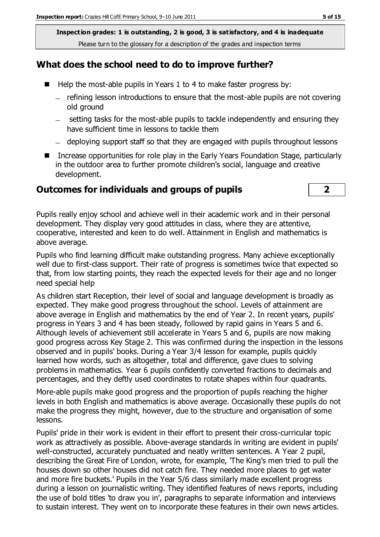## **What does the school need to do to improve further?**

- $\blacksquare$  Help the most-able pupils in Years 1 to 4 to make faster progress by:
	- refining lesson introductions to ensure that the most-able pupils are not covering old ground
	- $-$  setting tasks for the most-able pupils to tackle independently and ensuring they have sufficient time in lessons to tackle them
	- deploying support staff so that they are engaged with pupils throughout lessons
- Increase opportunities for role play in the Early Years Foundation Stage, particularly in the outdoor area to further promote children's social, language and creative development.

#### **Outcomes for individuals and groups of pupils 2**



Pupils really enjoy school and achieve well in their academic work and in their personal development. They display very good attitudes in class, where they are attentive, cooperative, interested and keen to do well. Attainment in English and mathematics is above average.

Pupils who find learning difficult make outstanding progress. Many achieve exceptionally well due to first-class support. Their rate of progress is sometimes twice that expected so that, from low starting points, they reach the expected levels for their age and no longer need special help

As children start Reception, their level of social and language development is broadly as expected. They make good progress throughout the school. Levels of attainment are above average in English and mathematics by the end of Year 2. In recent years, pupils' progress in Years 3 and 4 has been steady, followed by rapid gains in Years 5 and 6. Although levels of achievement still accelerate in Years 5 and 6, pupils are now making good progress across Key Stage 2. This was confirmed during the inspection in the lessons observed and in pupils' books. During a Year 3/4 lesson for example, pupils quickly learned how words, such as altogether, total and difference, gave clues to solving problems in mathematics. Year 6 pupils confidently converted fractions to decimals and percentages, and they deftly used coordinates to rotate shapes within four quadrants.

More-able pupils make good progress and the proportion of pupils reaching the higher levels in both English and mathematics is above average. Occasionally these pupils do not make the progress they might, however, due to the structure and organisation of some lessons.

Pupils' pride in their work is evident in their effort to present their cross-curricular topic work as attractively as possible. Above-average standards in writing are evident in pupils' well-constructed, accurately punctuated and neatly written sentences. A Year 2 pupil, describing the Great Fire of London, wrote, for example, 'The King's men tried to pull the houses down so other houses did not catch fire. They needed more places to get water and more fire buckets.' Pupils in the Year 5/6 class similarly made excellent progress during a lesson on journalistic writing. They identified features of news reports, including the use of bold titles 'to draw you in', paragraphs to separate information and interviews to sustain interest. They went on to incorporate these features in their own news articles.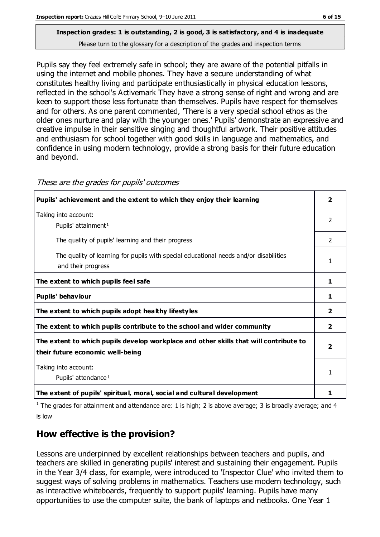Pupils say they feel extremely safe in school; they are aware of the potential pitfalls in using the internet and mobile phones. They have a secure understanding of what constitutes healthy living and participate enthusiastically in physical education lessons, reflected in the school's Activemark They have a strong sense of right and wrong and are keen to support those less fortunate than themselves. Pupils have respect for themselves and for others. As one parent commented, 'There is a very special school ethos as the older ones nurture and play with the younger ones.' Pupils' demonstrate an expressive and creative impulse in their sensitive singing and thoughtful artwork. Their positive attitudes and enthusiasm for school together with good skills in language and mathematics, and confidence in using modern technology, provide a strong basis for their future education and beyond.

| Pupils' achievement and the extent to which they enjoy their learning                                                     | $\overline{\mathbf{2}}$ |
|---------------------------------------------------------------------------------------------------------------------------|-------------------------|
| Taking into account:<br>Pupils' attainment <sup>1</sup>                                                                   | 2                       |
| The quality of pupils' learning and their progress                                                                        | $\mathcal{P}$           |
| The quality of learning for pupils with special educational needs and/or disabilities<br>and their progress               | 1                       |
| The extent to which pupils feel safe                                                                                      | 1                       |
| Pupils' behaviour                                                                                                         | 1                       |
| The extent to which pupils adopt healthy lifestyles                                                                       | $\overline{2}$          |
| The extent to which pupils contribute to the school and wider community                                                   | $\mathbf{2}$            |
| The extent to which pupils develop workplace and other skills that will contribute to<br>their future economic well-being | $\overline{\mathbf{2}}$ |
| Taking into account:<br>Pupils' attendance <sup>1</sup>                                                                   | 1                       |
| The extent of pupils' spiritual, moral, social and cultural development                                                   | 1                       |

These are the grades for pupils' outcomes

<sup>1</sup> The grades for attainment and attendance are: 1 is high; 2 is above average; 3 is broadly average; and 4 is low

## **How effective is the provision?**

Lessons are underpinned by excellent relationships between teachers and pupils, and teachers are skilled in generating pupils' interest and sustaining their engagement. Pupils in the Year 3/4 class, for example, were introduced to 'Inspector Clue' who invited them to suggest ways of solving problems in mathematics. Teachers use modern technology, such as interactive whiteboards, frequently to support pupils' learning. Pupils have many opportunities to use the computer suite, the bank of laptops and netbooks. One Year 1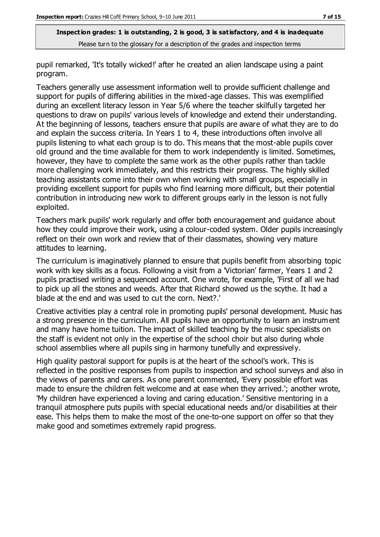pupil remarked, 'It's totally wicked!' after he created an alien landscape using a paint program.

Teachers generally use assessment information well to provide sufficient challenge and support for pupils of differing abilities in the mixed-age classes. This was exemplified during an excellent literacy lesson in Year 5/6 where the teacher skilfully targeted her questions to draw on pupils' various levels of knowledge and extend their understanding. At the beginning of lessons, teachers ensure that pupils are aware of what they are to do and explain the success criteria. In Years 1 to 4, these introductions often involve all pupils listening to what each group is to do. This means that the most-able pupils cover old ground and the time available for them to work independently is limited. Sometimes, however, they have to complete the same work as the other pupils rather than tackle more challenging work immediately, and this restricts their progress. The highly skilled teaching assistants come into their own when working with small groups, especially in providing excellent support for pupils who find learning more difficult, but their potential contribution in introducing new work to different groups early in the lesson is not fully exploited.

Teachers mark pupils' work regularly and offer both encouragement and guidance about how they could improve their work, using a colour-coded system. Older pupils increasingly reflect on their own work and review that of their classmates, showing very mature attitudes to learning.

The curriculum is imaginatively planned to ensure that pupils benefit from absorbing topic work with key skills as a focus. Following a visit from a 'Victorian' farmer, Years 1 and 2 pupils practised writing a sequenced account. One wrote, for example, 'First of all we had to pick up all the stones and weeds. After that Richard showed us the scythe. It had a blade at the end and was used to cut the corn. Next?.'

Creative activities play a central role in promoting pupils' personal development. Music has a strong presence in the curriculum. All pupils have an opportunity to learn an instrument and many have home tuition. The impact of skilled teaching by the music specialists on the staff is evident not only in the expertise of the school choir but also during whole school assemblies where all pupils sing in harmony tunefully and expressively.

High quality pastoral support for pupils is at the heart of the school's work. This is reflected in the positive responses from pupils to inspection and school surveys and also in the views of parents and carers. As one parent commented, 'Every possible effort was made to ensure the children felt welcome and at ease when they arrived.'; another wrote, 'My children have experienced a loving and caring education.' Sensitive mentoring in a tranquil atmosphere puts pupils with special educational needs and/or disabilities at their ease. This helps them to make the most of the one-to-one support on offer so that they make good and sometimes extremely rapid progress.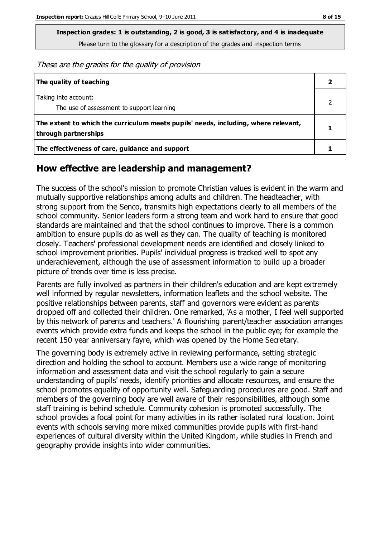**Inspection grades: 1 is outstanding, 2 is good, 3 is satisfactory, and 4 is inadequate**

Please turn to the glossary for a description of the grades and inspection terms

These are the grades for the quality of provision

| The quality of teaching                                                                                    |  |
|------------------------------------------------------------------------------------------------------------|--|
| Taking into account:<br>The use of assessment to support learning                                          |  |
| The extent to which the curriculum meets pupils' needs, including, where relevant,<br>through partnerships |  |
| The effectiveness of care, guidance and support                                                            |  |

## **How effective are leadership and management?**

The success of the school's mission to promote Christian values is evident in the warm and mutually supportive relationships among adults and children. The headteacher, with strong support from the Senco, transmits high expectations clearly to all members of the school community. Senior leaders form a strong team and work hard to ensure that good standards are maintained and that the school continues to improve. There is a common ambition to ensure pupils do as well as they can. The quality of teaching is monitored closely. Teachers' professional development needs are identified and closely linked to school improvement priorities. Pupils' individual progress is tracked well to spot any underachievement, although the use of assessment information to build up a broader picture of trends over time is less precise.

Parents are fully involved as partners in their children's education and are kept extremely well informed by regular newsletters, information leaflets and the school website. The positive relationships between parents, staff and governors were evident as parents dropped off and collected their children. One remarked, 'As a mother, I feel well supported by this network of parents and teachers.' A flourishing parent/teacher association arranges events which provide extra funds and keeps the school in the public eye; for example the recent 150 year anniversary fayre, which was opened by the Home Secretary.

The governing body is extremely active in reviewing performance, setting strategic direction and holding the school to account. Members use a wide range of monitoring information and assessment data and visit the school regularly to gain a secure understanding of pupils' needs, identify priorities and allocate resources, and ensure the school promotes equality of opportunity well. Safeguarding procedures are good. Staff and members of the governing body are well aware of their responsibilities, although some staff training is behind schedule. Community cohesion is promoted successfully. The school provides a focal point for many activities in its rather isolated rural location. Joint events with schools serving more mixed communities provide pupils with first-hand experiences of cultural diversity within the United Kingdom, while studies in French and geography provide insights into wider communities.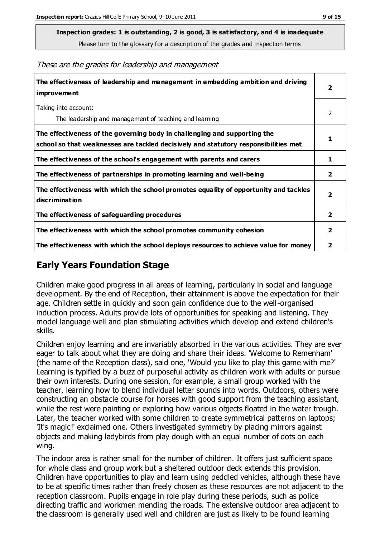**Inspection grades: 1 is outstanding, 2 is good, 3 is satisfactory, and 4 is inadequate**

Please turn to the glossary for a description of the grades and inspection terms

These are the grades for leadership and management

| The effectiveness of leadership and management in embedding ambition and driving<br>improvement                                                                  |                         |
|------------------------------------------------------------------------------------------------------------------------------------------------------------------|-------------------------|
| Taking into account:<br>The leadership and management of teaching and learning                                                                                   | 2                       |
| The effectiveness of the governing body in challenging and supporting the<br>school so that weaknesses are tackled decisively and statutory responsibilities met |                         |
| The effectiveness of the school's engagement with parents and carers                                                                                             | 1                       |
| The effectiveness of partnerships in promoting learning and well-being                                                                                           | 2                       |
| The effectiveness with which the school promotes equality of opportunity and tackles<br>discrimination                                                           | $\overline{\mathbf{2}}$ |
| The effectiveness of safeguarding procedures                                                                                                                     | $\overline{2}$          |
| The effectiveness with which the school promotes community cohesion                                                                                              | $\mathbf{2}$            |
| The effectiveness with which the school deploys resources to achieve value for money                                                                             | 2                       |

## **Early Years Foundation Stage**

Children make good progress in all areas of learning, particularly in social and language development. By the end of Reception, their attainment is above the expectation for their age. Children settle in quickly and soon gain confidence due to the well-organised induction process. Adults provide lots of opportunities for speaking and listening. They model language well and plan stimulating activities which develop and extend children's skills.

Children enjoy learning and are invariably absorbed in the various activities. They are ever eager to talk about what they are doing and share their ideas. 'Welcome to Remenham' (the name of the Reception class), said one, 'Would you like to play this game with me?' Learning is typified by a buzz of purposeful activity as children work with adults or pursue their own interests. During one session, for example, a small group worked with the teacher, learning how to blend individual letter sounds into words. Outdoors, others were constructing an obstacle course for horses with good support from the teaching assistant, while the rest were painting or exploring how various objects floated in the water trough. Later, the teacher worked with some children to create symmetrical patterns on laptops; 'It's magic!' exclaimed one. Others investigated symmetry by placing mirrors against objects and making ladybirds from play dough with an equal number of dots on each wing.

The indoor area is rather small for the number of children. It offers just sufficient space for whole class and group work but a sheltered outdoor deck extends this provision. Children have opportunities to play and learn using peddled vehicles, although these have to be at specific times rather than freely chosen as these resources are not adjacent to the reception classroom. Pupils engage in role play during these periods, such as police directing traffic and workmen mending the roads. The extensive outdoor area adjacent to the classroom is generally used well and children are just as likely to be found learning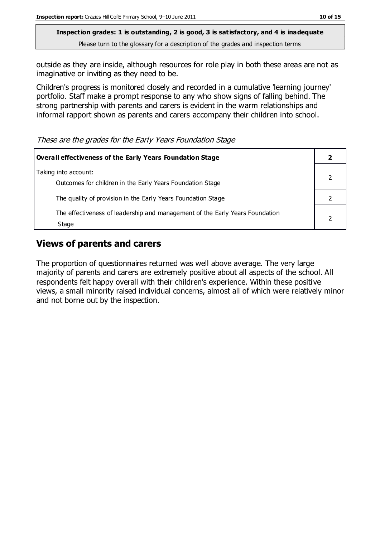outside as they are inside, although resources for role play in both these areas are not as imaginative or inviting as they need to be.

Children's progress is monitored closely and recorded in a cumulative 'learning journey' portfolio. Staff make a prompt response to any who show signs of falling behind. The strong partnership with parents and carers is evident in the warm relationships and informal rapport shown as parents and carers accompany their children into school.

These are the grades for the Early Years Foundation Stage

| Overall effectiveness of the Early Years Foundation Stage                             |  |
|---------------------------------------------------------------------------------------|--|
| Taking into account:<br>Outcomes for children in the Early Years Foundation Stage     |  |
| The quality of provision in the Early Years Foundation Stage                          |  |
| The effectiveness of leadership and management of the Early Years Foundation<br>Stage |  |

## **Views of parents and carers**

The proportion of questionnaires returned was well above average. The very large majority of parents and carers are extremely positive about all aspects of the school. All respondents felt happy overall with their children's experience. Within these positive views, a small minority raised individual concerns, almost all of which were relatively minor and not borne out by the inspection.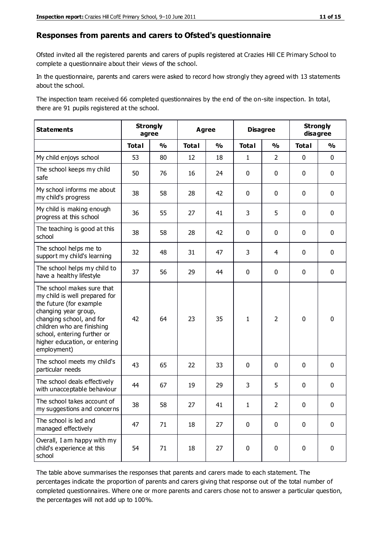#### **Responses from parents and carers to Ofsted's questionnaire**

Ofsted invited all the registered parents and carers of pupils registered at Crazies Hill CE Primary School to complete a questionnaire about their views of the school.

In the questionnaire, parents and carers were asked to record how strongly they agreed with 13 statements about the school.

The inspection team received 66 completed questionnaires by the end of the on-site inspection. In total, there are 91 pupils registered at the school.

| <b>Statements</b>                                                                                                                                                                                                                                       | <b>Strongly</b> | agree         | <b>Agree</b> |               | <b>Disagree</b> |                | <b>Strongly</b><br>disagree |               |
|---------------------------------------------------------------------------------------------------------------------------------------------------------------------------------------------------------------------------------------------------------|-----------------|---------------|--------------|---------------|-----------------|----------------|-----------------------------|---------------|
|                                                                                                                                                                                                                                                         | <b>Total</b>    | $\frac{1}{2}$ | <b>Total</b> | $\frac{1}{2}$ | <b>Total</b>    | $\frac{1}{2}$  | <b>Total</b>                | $\frac{1}{2}$ |
| My child enjoys school                                                                                                                                                                                                                                  | 53              | 80            | 12           | 18            | $\mathbf{1}$    | $\overline{2}$ | $\mathbf 0$                 | $\mathbf 0$   |
| The school keeps my child<br>safe                                                                                                                                                                                                                       | 50              | 76            | 16           | 24            | 0               | $\mathbf 0$    | $\mathbf 0$                 | $\mathbf 0$   |
| My school informs me about<br>my child's progress                                                                                                                                                                                                       | 38              | 58            | 28           | 42            | 0               | $\mathbf{0}$   | $\mathbf 0$                 | $\mathbf 0$   |
| My child is making enough<br>progress at this school                                                                                                                                                                                                    | 36              | 55            | 27           | 41            | 3               | 5              | $\mathbf 0$                 | $\mathbf 0$   |
| The teaching is good at this<br>school                                                                                                                                                                                                                  | 38              | 58            | 28           | 42            | 0               | $\mathbf 0$    | $\mathbf 0$                 | $\mathbf 0$   |
| The school helps me to<br>support my child's learning                                                                                                                                                                                                   | 32              | 48            | 31           | 47            | 3               | 4              | $\mathbf 0$                 | $\mathbf 0$   |
| The school helps my child to<br>have a healthy lifestyle                                                                                                                                                                                                | 37              | 56            | 29           | 44            | 0               | $\mathbf 0$    | $\mathbf 0$                 | $\mathbf 0$   |
| The school makes sure that<br>my child is well prepared for<br>the future (for example<br>changing year group,<br>changing school, and for<br>children who are finishing<br>school, entering further or<br>higher education, or entering<br>employment) | 42              | 64            | 23           | 35            | $\mathbf{1}$    | $\overline{2}$ | $\mathbf 0$                 | $\mathbf 0$   |
| The school meets my child's<br>particular needs                                                                                                                                                                                                         | 43              | 65            | 22           | 33            | $\mathbf 0$     | $\mathbf 0$    | $\mathbf 0$                 | $\mathbf 0$   |
| The school deals effectively<br>with unacceptable behaviour                                                                                                                                                                                             | 44              | 67            | 19           | 29            | 3               | 5              | $\mathbf 0$                 | $\pmb{0}$     |
| The school takes account of<br>my suggestions and concerns                                                                                                                                                                                              | 38              | 58            | 27           | 41            | 1               | $\mathcal{P}$  | $\Omega$                    | 0             |
| The school is led and<br>managed effectively                                                                                                                                                                                                            | 47              | 71            | 18           | 27            | $\mathbf 0$     | $\mathbf 0$    | $\mathbf 0$                 | $\mathbf 0$   |
| Overall, I am happy with my<br>child's experience at this<br>school                                                                                                                                                                                     | 54              | 71            | 18           | 27            | $\pmb{0}$       | $\mathbf 0$    | $\mathbf 0$                 | $\pmb{0}$     |

The table above summarises the responses that parents and carers made to each statement. The percentages indicate the proportion of parents and carers giving that response out of the total number of completed questionnaires. Where one or more parents and carers chose not to answer a particular question, the percentages will not add up to 100%.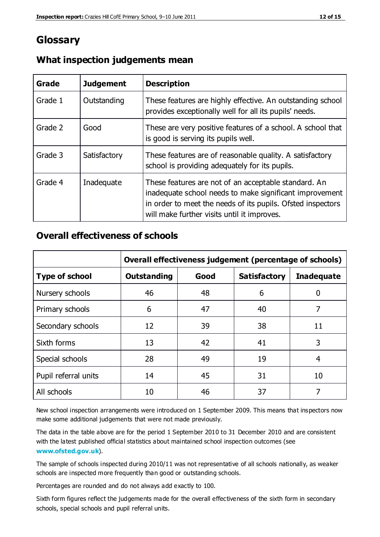## **Glossary**

| Grade   | <b>Judgement</b> | <b>Description</b>                                                                                                                                                                                                            |
|---------|------------------|-------------------------------------------------------------------------------------------------------------------------------------------------------------------------------------------------------------------------------|
| Grade 1 | Outstanding      | These features are highly effective. An outstanding school<br>provides exceptionally well for all its pupils' needs.                                                                                                          |
| Grade 2 | Good             | These are very positive features of a school. A school that<br>is good is serving its pupils well.                                                                                                                            |
| Grade 3 | Satisfactory     | These features are of reasonable quality. A satisfactory<br>school is providing adequately for its pupils.                                                                                                                    |
| Grade 4 | Inadequate       | These features are not of an acceptable standard. An<br>inadequate school needs to make significant improvement<br>in order to meet the needs of its pupils. Ofsted inspectors<br>will make further visits until it improves. |

## **What inspection judgements mean**

## **Overall effectiveness of schools**

|                       | Overall effectiveness judgement (percentage of schools) |      |                     |                   |
|-----------------------|---------------------------------------------------------|------|---------------------|-------------------|
| <b>Type of school</b> | <b>Outstanding</b>                                      | Good | <b>Satisfactory</b> | <b>Inadequate</b> |
| Nursery schools       | 46                                                      | 48   | 6                   |                   |
| Primary schools       | 6                                                       | 47   | 40                  | 7                 |
| Secondary schools     | 12                                                      | 39   | 38                  | 11                |
| Sixth forms           | 13                                                      | 42   | 41                  | 3                 |
| Special schools       | 28                                                      | 49   | 19                  | 4                 |
| Pupil referral units  | 14                                                      | 45   | 31                  | 10                |
| All schools           | 10                                                      | 46   | 37                  |                   |

New school inspection arrangements were introduced on 1 September 2009. This means that inspectors now make some additional judgements that were not made previously.

The data in the table above are for the period 1 September 2010 to 31 December 2010 and are consistent with the latest published official statistics about maintained school inspection outcomes (see **[www.ofsted.gov.uk](http://www.ofsted.gov.uk/)**).

The sample of schools inspected during 2010/11 was not representative of all schools nationally, as weaker schools are inspected more frequently than good or outstanding schools.

Percentages are rounded and do not always add exactly to 100.

Sixth form figures reflect the judgements made for the overall effectiveness of the sixth form in secondary schools, special schools and pupil referral units.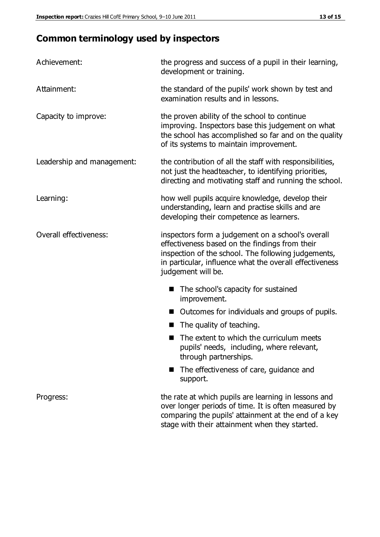## **Common terminology used by inspectors**

| Achievement:               | the progress and success of a pupil in their learning,<br>development or training.                                                                                                                                                          |
|----------------------------|---------------------------------------------------------------------------------------------------------------------------------------------------------------------------------------------------------------------------------------------|
| Attainment:                | the standard of the pupils' work shown by test and<br>examination results and in lessons.                                                                                                                                                   |
| Capacity to improve:       | the proven ability of the school to continue<br>improving. Inspectors base this judgement on what<br>the school has accomplished so far and on the quality<br>of its systems to maintain improvement.                                       |
| Leadership and management: | the contribution of all the staff with responsibilities,<br>not just the headteacher, to identifying priorities,<br>directing and motivating staff and running the school.                                                                  |
| Learning:                  | how well pupils acquire knowledge, develop their<br>understanding, learn and practise skills and are<br>developing their competence as learners.                                                                                            |
| Overall effectiveness:     | inspectors form a judgement on a school's overall<br>effectiveness based on the findings from their<br>inspection of the school. The following judgements,<br>in particular, influence what the overall effectiveness<br>judgement will be. |
|                            | The school's capacity for sustained<br>improvement.                                                                                                                                                                                         |
|                            | Outcomes for individuals and groups of pupils.                                                                                                                                                                                              |
|                            | The quality of teaching.                                                                                                                                                                                                                    |
|                            | The extent to which the curriculum meets<br>pupils' needs, including, where relevant,<br>through partnerships.                                                                                                                              |
|                            | The effectiveness of care, guidance and<br>support.                                                                                                                                                                                         |
| Progress:                  | the rate at which pupils are learning in lessons and<br>over longer periods of time. It is often measured by<br>comparing the pupils' attainment at the end of a key                                                                        |

stage with their attainment when they started.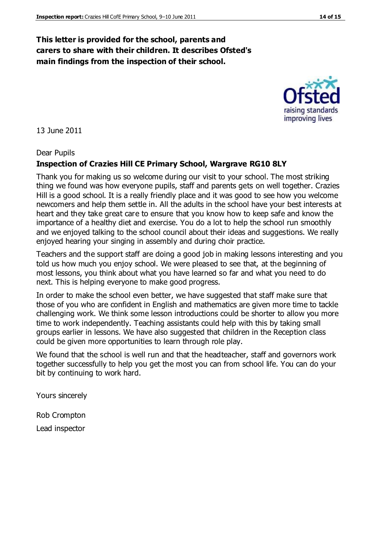## **This letter is provided for the school, parents and carers to share with their children. It describes Ofsted's main findings from the inspection of their school.**

13 June 2011

#### Dear Pupils

#### **Inspection of Crazies Hill CE Primary School, Wargrave RG10 8LY**

Thank you for making us so welcome during our visit to your school. The most striking thing we found was how everyone pupils, staff and parents gets on well together. Crazies Hill is a good school. It is a really friendly place and it was good to see how you welcome newcomers and help them settle in. All the adults in the school have your best interests at heart and they take great care to ensure that you know how to keep safe and know the importance of a healthy diet and exercise. You do a lot to help the school run smoothly and we enjoyed talking to the school council about their ideas and suggestions. We really enjoyed hearing your singing in assembly and during choir practice.

Teachers and the support staff are doing a good job in making lessons interesting and you told us how much you enjoy school. We were pleased to see that, at the beginning of most lessons, you think about what you have learned so far and what you need to do next. This is helping everyone to make good progress.

In order to make the school even better, we have suggested that staff make sure that those of you who are confident in English and mathematics are given more time to tackle challenging work. We think some lesson introductions could be shorter to allow you more time to work independently. Teaching assistants could help with this by taking small groups earlier in lessons. We have also suggested that children in the Reception class could be given more opportunities to learn through role play.

We found that the school is well run and that the headteacher, staff and governors work together successfully to help you get the most you can from school life. You can do your bit by continuing to work hard.

Yours sincerely

Rob Crompton

Lead inspector